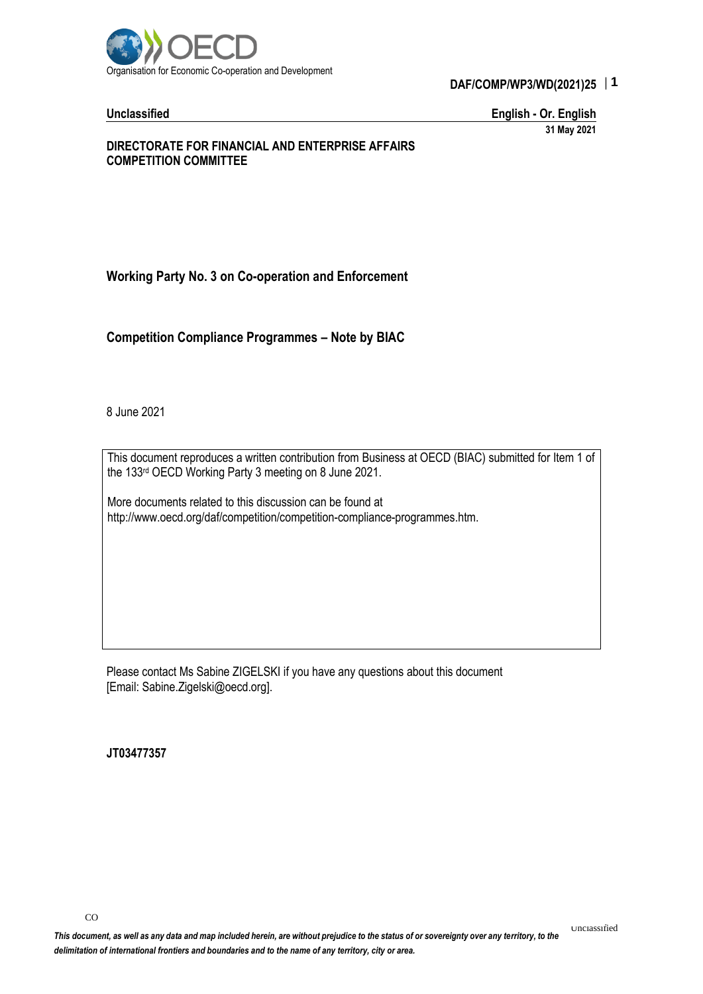

## DAF/COMP/WP3/WD(2021)25 **1 DAF/COMP/WP3/WD(2021)25**

**Unclassified English - Or. English**

**31 May 2021**

#### **DIRECTORATE FOR FINANCIAL AND ENTERPRISE AFFAIRS COMPETITION COMMITTEE**

**Working Party No. 3 on Co-operation and Enforcement**

**Competition Compliance Programmes – Note by BIAC**

8 June 2021

This document reproduces a written contribution from Business at OECD (BIAC) submitted for Item 1 of the 133rd OECD Working Party 3 meeting on 8 June 2021.

More documents related to this discussion can be found at http://www.oecd.org/daf/competition/competition-compliance-programmes.htm.

Please contact Ms Sabine ZIGELSKI if you have any questions about this document [Email: Sabine.Zigelski@oecd.org].

**JT03477357**

COMPLIANCE PROGRAMMES – NOTE BY BIACHINE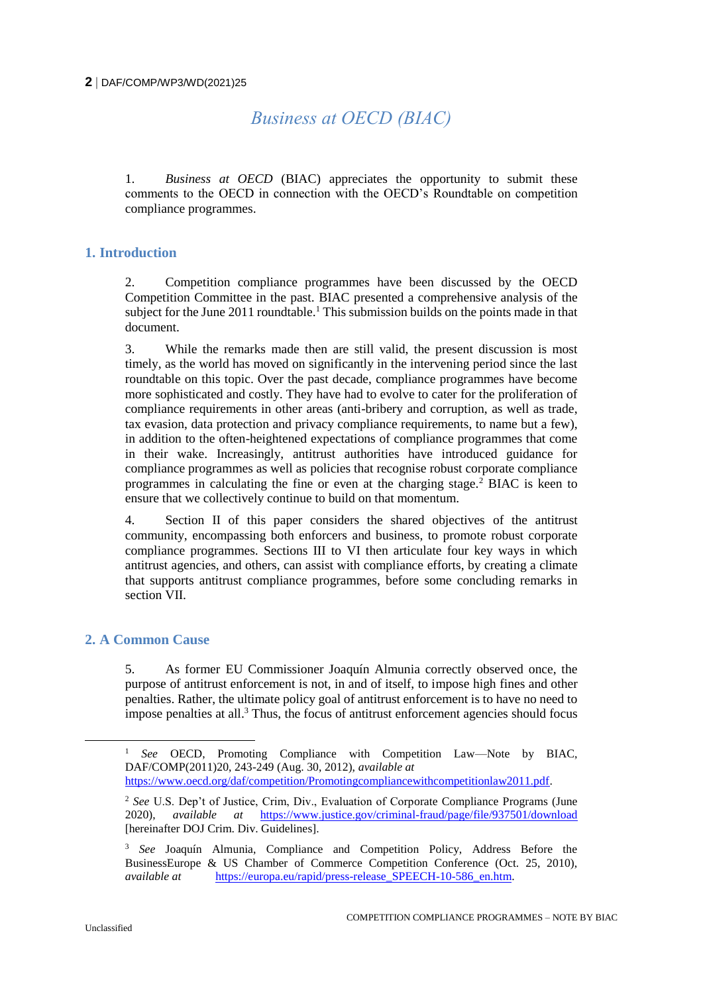# *Business at OECD (BIAC)*

1. *Business at OECD* (BIAC) appreciates the opportunity to submit these comments to the OECD in connection with the OECD's Roundtable on competition compliance programmes.

## **1. Introduction**

2. Competition compliance programmes have been discussed by the OECD Competition Committee in the past. BIAC presented a comprehensive analysis of the subject for the June 2011 roundtable.<sup>1</sup> This submission builds on the points made in that document.

3. While the remarks made then are still valid, the present discussion is most timely, as the world has moved on significantly in the intervening period since the last roundtable on this topic. Over the past decade, compliance programmes have become more sophisticated and costly. They have had to evolve to cater for the proliferation of compliance requirements in other areas (anti-bribery and corruption, as well as trade, tax evasion, data protection and privacy compliance requirements, to name but a few), in addition to the often-heightened expectations of compliance programmes that come in their wake. Increasingly, antitrust authorities have introduced guidance for compliance programmes as well as policies that recognise robust corporate compliance programmes in calculating the fine or even at the charging stage.<sup>2</sup> BIAC is keen to ensure that we collectively continue to build on that momentum.

4. Section II of this paper considers the shared objectives of the antitrust community, encompassing both enforcers and business, to promote robust corporate compliance programmes. Sections III to VI then articulate four key ways in which antitrust agencies, and others, can assist with compliance efforts, by creating a climate that supports antitrust compliance programmes, before some concluding remarks in section VII.

## **2. A Common Cause**

5. As former EU Commissioner Joaquín Almunia correctly observed once, the purpose of antitrust enforcement is not, in and of itself, to impose high fines and other penalties. Rather, the ultimate policy goal of antitrust enforcement is to have no need to impose penalties at all.<sup>3</sup> Thus, the focus of antitrust enforcement agencies should focus

<sup>&</sup>lt;sup>1</sup> *See* OECD, Promoting Compliance with Competition Law—Note by BIAC, DAF/COMP(2011)20, 243-249 (Aug. 30, 2012), *available at* [https://www.oecd.org/daf/competition/Promotingcompliancewithcompetitionlaw2011.pdf.](https://www.oecd.org/daf/competition/Promotingcompliancewithcompetitionlaw2011.pdf)

<sup>2</sup> *See* U.S. Dep't of Justice, Crim, Div., Evaluation of Corporate Compliance Programs (June 2020), *available at* <https://www.justice.gov/criminal-fraud/page/file/937501/download> [hereinafter DOJ Crim. Div. Guidelines].

<sup>3</sup> *See* Joaquín Almunia, Compliance and Competition Policy, Address Before the BusinessEurope & US Chamber of Commerce Competition Conference (Oct. 25, 2010), *available at* https://europa.eu/rapid/press-release SPEECH-10-586 en.htm.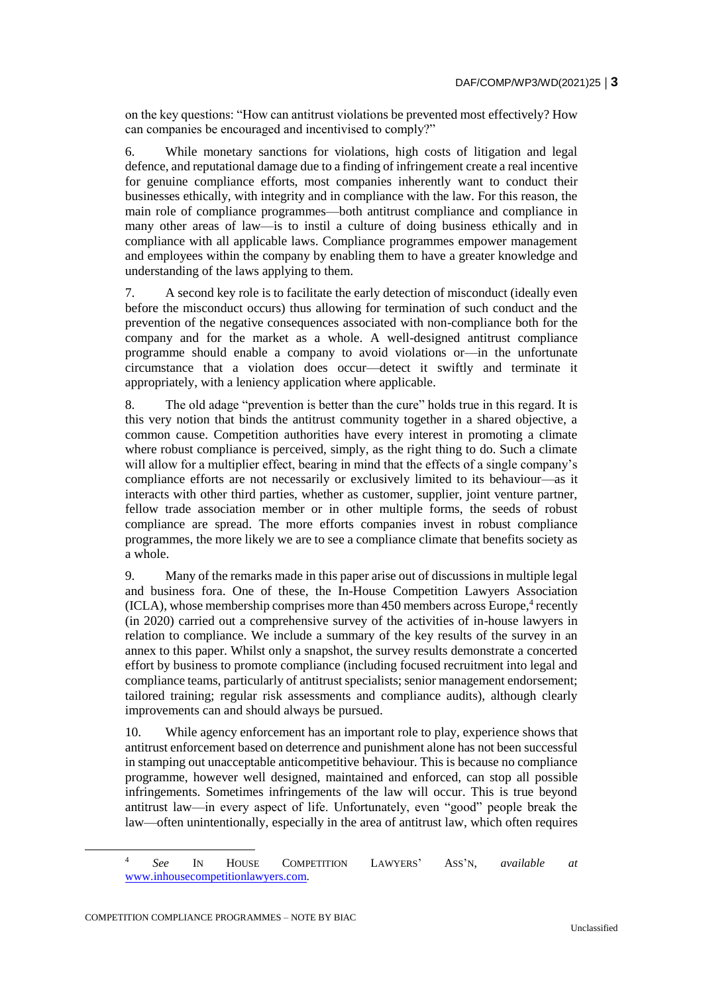on the key questions: "How can antitrust violations be prevented most effectively? How can companies be encouraged and incentivised to comply?"

6. While monetary sanctions for violations, high costs of litigation and legal defence, and reputational damage due to a finding of infringement create a real incentive for genuine compliance efforts, most companies inherently want to conduct their businesses ethically, with integrity and in compliance with the law. For this reason, the main role of compliance programmes—both antitrust compliance and compliance in many other areas of law—is to instil a culture of doing business ethically and in compliance with all applicable laws. Compliance programmes empower management and employees within the company by enabling them to have a greater knowledge and understanding of the laws applying to them.

7. A second key role is to facilitate the early detection of misconduct (ideally even before the misconduct occurs) thus allowing for termination of such conduct and the prevention of the negative consequences associated with non-compliance both for the company and for the market as a whole. A well-designed antitrust compliance programme should enable a company to avoid violations or—in the unfortunate circumstance that a violation does occur—detect it swiftly and terminate it appropriately, with a leniency application where applicable.

8. The old adage "prevention is better than the cure" holds true in this regard. It is this very notion that binds the antitrust community together in a shared objective, a common cause. Competition authorities have every interest in promoting a climate where robust compliance is perceived, simply, as the right thing to do. Such a climate will allow for a multiplier effect, bearing in mind that the effects of a single company's compliance efforts are not necessarily or exclusively limited to its behaviour—as it interacts with other third parties, whether as customer, supplier, joint venture partner, fellow trade association member or in other multiple forms, the seeds of robust compliance are spread. The more efforts companies invest in robust compliance programmes, the more likely we are to see a compliance climate that benefits society as a whole.

9. Many of the remarks made in this paper arise out of discussions in multiple legal and business fora. One of these, the In-House Competition Lawyers Association (ICLA), whose membership comprises more than 450 members across Europe,<sup>4</sup> recently (in 2020) carried out a comprehensive survey of the activities of in-house lawyers in relation to compliance. We include a summary of the key results of the survey in an annex to this paper. Whilst only a snapshot, the survey results demonstrate a concerted effort by business to promote compliance (including focused recruitment into legal and compliance teams, particularly of antitrust specialists; senior management endorsement; tailored training; regular risk assessments and compliance audits), although clearly improvements can and should always be pursued.

10. While agency enforcement has an important role to play, experience shows that antitrust enforcement based on deterrence and punishment alone has not been successful in stamping out unacceptable anticompetitive behaviour. This is because no compliance programme, however well designed, maintained and enforced, can stop all possible infringements. Sometimes infringements of the law will occur. This is true beyond antitrust law—in every aspect of life. Unfortunately, even "good" people break the law—often unintentionally, especially in the area of antitrust law, which often requires

1

<sup>4</sup> *See* IN HOUSE COMPETITION LAWYERS' ASS'N, *available at* [www.inhousecompetitionlawyers.com.](http://www.inhousecompetitionlawyers.com/)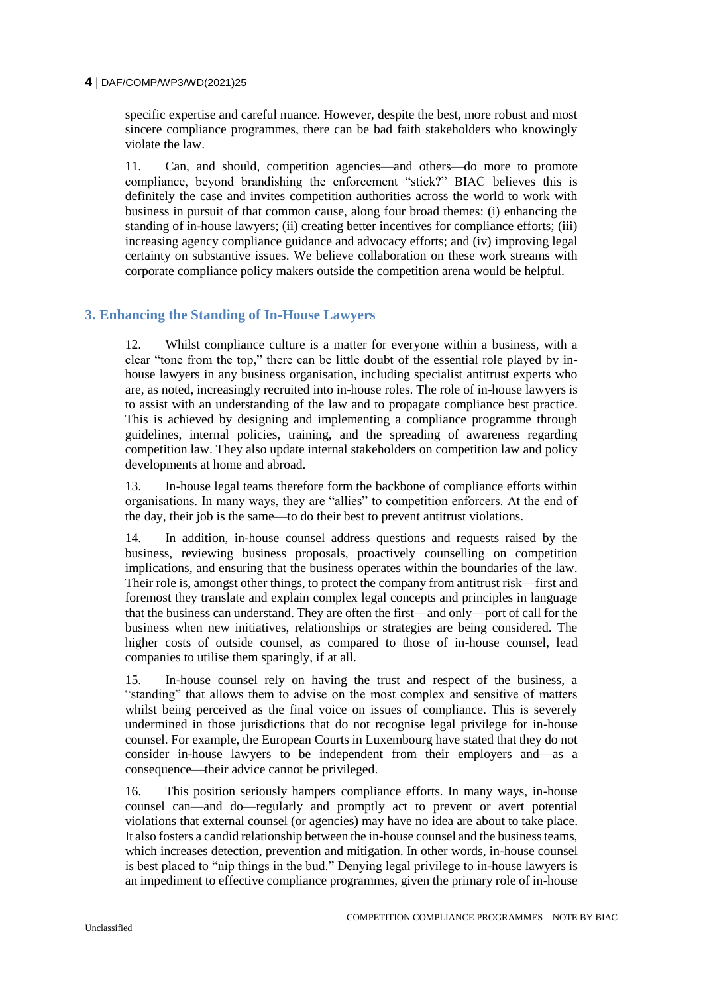specific expertise and careful nuance. However, despite the best, more robust and most sincere compliance programmes, there can be bad faith stakeholders who knowingly violate the law.

11. Can, and should, competition agencies—and others—do more to promote compliance, beyond brandishing the enforcement "stick?" BIAC believes this is definitely the case and invites competition authorities across the world to work with business in pursuit of that common cause, along four broad themes: (i) enhancing the standing of in-house lawyers; (ii) creating better incentives for compliance efforts; (iii) increasing agency compliance guidance and advocacy efforts; and (iv) improving legal certainty on substantive issues. We believe collaboration on these work streams with corporate compliance policy makers outside the competition arena would be helpful.

## **3. Enhancing the Standing of In-House Lawyers**

12. Whilst compliance culture is a matter for everyone within a business, with a clear "tone from the top," there can be little doubt of the essential role played by inhouse lawyers in any business organisation, including specialist antitrust experts who are, as noted, increasingly recruited into in-house roles. The role of in-house lawyers is to assist with an understanding of the law and to propagate compliance best practice. This is achieved by designing and implementing a compliance programme through guidelines, internal policies, training, and the spreading of awareness regarding competition law. They also update internal stakeholders on competition law and policy developments at home and abroad.

13. In-house legal teams therefore form the backbone of compliance efforts within organisations. In many ways, they are "allies" to competition enforcers. At the end of the day, their job is the same—to do their best to prevent antitrust violations.

14. In addition, in-house counsel address questions and requests raised by the business, reviewing business proposals, proactively counselling on competition implications, and ensuring that the business operates within the boundaries of the law. Their role is, amongst other things, to protect the company from antitrust risk—first and foremost they translate and explain complex legal concepts and principles in language that the business can understand. They are often the first—and only—port of call for the business when new initiatives, relationships or strategies are being considered. The higher costs of outside counsel, as compared to those of in-house counsel, lead companies to utilise them sparingly, if at all.

15. In-house counsel rely on having the trust and respect of the business, a "standing" that allows them to advise on the most complex and sensitive of matters whilst being perceived as the final voice on issues of compliance. This is severely undermined in those jurisdictions that do not recognise legal privilege for in-house counsel. For example, the European Courts in Luxembourg have stated that they do not consider in-house lawyers to be independent from their employers and—as a consequence—their advice cannot be privileged.

16. This position seriously hampers compliance efforts. In many ways, in-house counsel can—and do—regularly and promptly act to prevent or avert potential violations that external counsel (or agencies) may have no idea are about to take place. It also fosters a candid relationship between the in-house counsel and the business teams, which increases detection, prevention and mitigation. In other words, in-house counsel is best placed to "nip things in the bud." Denying legal privilege to in-house lawyers is an impediment to effective compliance programmes, given the primary role of in-house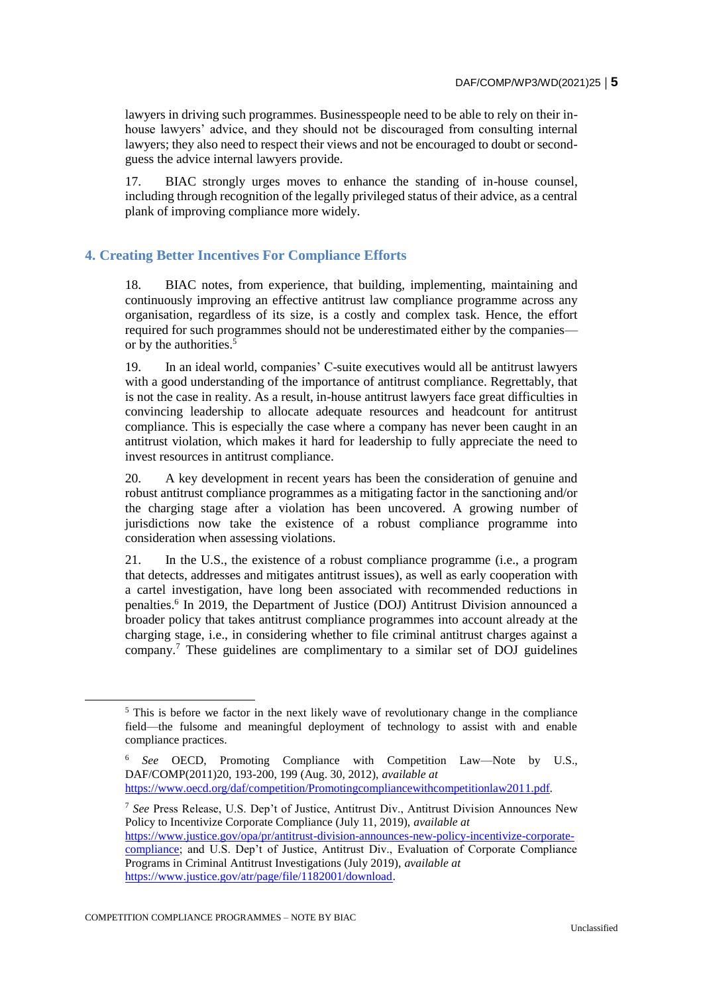lawyers in driving such programmes. Businesspeople need to be able to rely on their inhouse lawyers' advice, and they should not be discouraged from consulting internal lawyers; they also need to respect their views and not be encouraged to doubt or secondguess the advice internal lawyers provide.

17. BIAC strongly urges moves to enhance the standing of in-house counsel, including through recognition of the legally privileged status of their advice, as a central plank of improving compliance more widely.

## **4. Creating Better Incentives For Compliance Efforts**

18. BIAC notes, from experience, that building, implementing, maintaining and continuously improving an effective antitrust law compliance programme across any organisation, regardless of its size, is a costly and complex task. Hence, the effort required for such programmes should not be underestimated either by the companies or by the authorities.<sup>5</sup>

19. In an ideal world, companies' C-suite executives would all be antitrust lawyers with a good understanding of the importance of antitrust compliance. Regrettably, that is not the case in reality. As a result, in-house antitrust lawyers face great difficulties in convincing leadership to allocate adequate resources and headcount for antitrust compliance. This is especially the case where a company has never been caught in an antitrust violation, which makes it hard for leadership to fully appreciate the need to invest resources in antitrust compliance.

20. A key development in recent years has been the consideration of genuine and robust antitrust compliance programmes as a mitigating factor in the sanctioning and/or the charging stage after a violation has been uncovered. A growing number of jurisdictions now take the existence of a robust compliance programme into consideration when assessing violations.

21. In the U.S., the existence of a robust compliance programme (i.e., a program that detects, addresses and mitigates antitrust issues), as well as early cooperation with a cartel investigation, have long been associated with recommended reductions in penalties.<sup>6</sup> In 2019, the Department of Justice (DOJ) Antitrust Division announced a broader policy that takes antitrust compliance programmes into account already at the charging stage, i.e., in considering whether to file criminal antitrust charges against a company.<sup>7</sup> These guidelines are complimentary to a similar set of DOJ guidelines

<sup>&</sup>lt;sup>5</sup> This is before we factor in the next likely wave of revolutionary change in the compliance field—the fulsome and meaningful deployment of technology to assist with and enable compliance practices.

<sup>6</sup> *See* OECD, Promoting Compliance with Competition Law—Note by U.S., DAF/COMP(2011)20, 193-200, 199 (Aug. 30, 2012), *available at* [https://www.oecd.org/daf/competition/Promotingcompliancewithcompetitionlaw2011.pdf.](https://www.oecd.org/daf/competition/Promotingcompliancewithcompetitionlaw2011.pdf)

<sup>7</sup> *See* Press Release, U.S. Dep't of Justice, Antitrust Div., Antitrust Division Announces New Policy to Incentivize Corporate Compliance (July 11, 2019), *available at* [https://www.justice.gov/opa/pr/antitrust-division-announces-new-policy-incentivize-corporate](https://www.justice.gov/opa/pr/antitrust-division-announces-new-policy-incentivize-corporate-compliance)[compliance;](https://www.justice.gov/opa/pr/antitrust-division-announces-new-policy-incentivize-corporate-compliance) and U.S. Dep't of Justice, Antitrust Div., Evaluation of Corporate Compliance Programs in Criminal Antitrust Investigations (July 2019), *available at* [https://www.justice.gov/atr/page/file/1182001/download.](https://www.justice.gov/atr/page/file/1182001/download)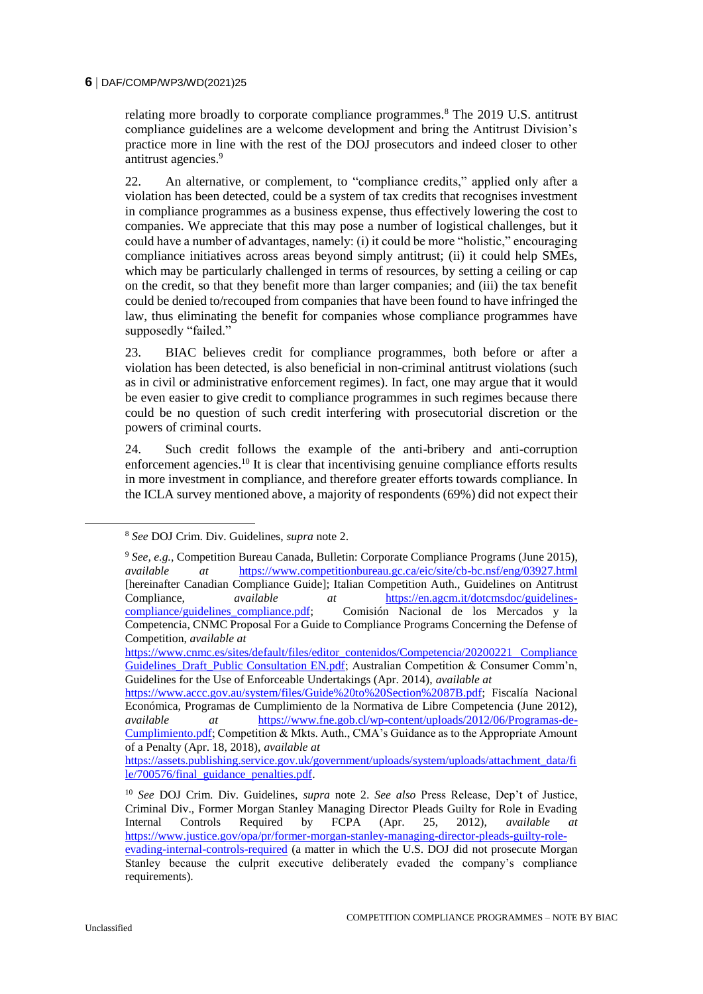relating more broadly to corporate compliance programmes.<sup>8</sup> The 2019 U.S. antitrust compliance guidelines are a welcome development and bring the Antitrust Division's practice more in line with the rest of the DOJ prosecutors and indeed closer to other antitrust agencies.<sup>9</sup>

22. An alternative, or complement, to "compliance credits," applied only after a violation has been detected, could be a system of tax credits that recognises investment in compliance programmes as a business expense, thus effectively lowering the cost to companies. We appreciate that this may pose a number of logistical challenges, but it could have a number of advantages, namely: (i) it could be more "holistic," encouraging compliance initiatives across areas beyond simply antitrust; (ii) it could help SMEs, which may be particularly challenged in terms of resources, by setting a ceiling or cap on the credit, so that they benefit more than larger companies; and (iii) the tax benefit could be denied to/recouped from companies that have been found to have infringed the law, thus eliminating the benefit for companies whose compliance programmes have supposedly "failed."

23. BIAC believes credit for compliance programmes, both before or after a violation has been detected, is also beneficial in non-criminal antitrust violations (such as in civil or administrative enforcement regimes). In fact, one may argue that it would be even easier to give credit to compliance programmes in such regimes because there could be no question of such credit interfering with prosecutorial discretion or the powers of criminal courts.

24. Such credit follows the example of the anti-bribery and anti-corruption enforcement agencies.<sup>10</sup> It is clear that incentivising genuine compliance efforts results in more investment in compliance, and therefore greater efforts towards compliance. In the ICLA survey mentioned above, a majority of respondents (69%) did not expect their

<sup>8</sup> *See* DOJ Crim. Div. Guidelines, *supra* note 2.

<sup>9</sup> *See, e.g.*, Competition Bureau Canada, Bulletin: Corporate Compliance Programs (June 2015), *available at* <https://www.competitionbureau.gc.ca/eic/site/cb-bc.nsf/eng/03927.html> [hereinafter Canadian Compliance Guide]; Italian Competition Auth., Guidelines on Antitrust Compliance, *available at* https://en.agcm.it/dotcmsdoc/guidelines-Compliance, *available at* [https://en.agcm.it/dotcmsdoc/guidelines](https://en.agcm.it/dotcmsdoc/guidelines-compliance/guidelines_compliance.pdf)[compliance/guidelines\\_compliance.pdf;](https://en.agcm.it/dotcmsdoc/guidelines-compliance/guidelines_compliance.pdf) Comisión Nacional de los Mercados y la Competencia, CNMC Proposal For a Guide to Compliance Programs Concerning the Defense of Competition, *available at*

[https://www.cnmc.es/sites/default/files/editor\\_contenidos/Competencia/20200221 Compliance](https://www.cnmc.es/sites/default/files/editor_contenidos/Competencia/20200221%20Compliance%20Guidelines_Draft_Public%20Consultation%20EN.pdf)  [Guidelines\\_Draft\\_Public Consultation EN.pdf;](https://www.cnmc.es/sites/default/files/editor_contenidos/Competencia/20200221%20Compliance%20Guidelines_Draft_Public%20Consultation%20EN.pdf) Australian Competition & Consumer Comm'n, Guidelines for the Use of Enforceable Undertakings (Apr. 2014), *available at*

[https://www.accc.gov.au/system/files/Guide%20to%20Section%2087B.pdf;](https://www.accc.gov.au/system/files/Guide%20to%20Section%2087B.pdf) Fiscalía Nacional Económica, Programas de Cumplimiento de la Normativa de Libre Competencia (June 2012),<br>
available dt https://www.fne.gob.cl/wp-content/uploads/2012/06/Programas-de*at* [https://www.fne.gob.cl/wp-content/uploads/2012/06/Programas-de-](https://www.fne.gob.cl/wp-content/uploads/2012/06/Programas-de-Cumplimiento.pdf)[Cumplimiento.pdf;](https://www.fne.gob.cl/wp-content/uploads/2012/06/Programas-de-Cumplimiento.pdf) Competition & Mkts. Auth., CMA's Guidance as to the Appropriate Amount of a Penalty (Apr. 18, 2018), *available at*

[https://assets.publishing.service.gov.uk/government/uploads/system/uploads/attachment\\_data/fi](https://assets.publishing.service.gov.uk/government/uploads/system/uploads/attachment_data/file/700576/final_guidance_penalties.pdf) [le/700576/final\\_guidance\\_penalties.pdf.](https://assets.publishing.service.gov.uk/government/uploads/system/uploads/attachment_data/file/700576/final_guidance_penalties.pdf)

<sup>10</sup> *See* DOJ Crim. Div. Guidelines, *supra* note 2. *See also* Press Release, Dep't of Justice, Criminal Div., Former Morgan Stanley Managing Director Pleads Guilty for Role in Evading<br>Internal Controls Required by FCPA (Apr. 25. 2012). *available at* Internal Controls Required by FCPA (Apr. 25, 2012), *available at* [https://www.justice.gov/opa/pr/former-morgan-stanley-managing-director-pleads-guilty-role](https://www.justice.gov/opa/pr/former-morgan-stanley-managing-director-pleads-guilty-role-evading-internal-controls-required)[evading-internal-controls-required](https://www.justice.gov/opa/pr/former-morgan-stanley-managing-director-pleads-guilty-role-evading-internal-controls-required) (a matter in which the U.S. DOJ did not prosecute Morgan Stanley because the culprit executive deliberately evaded the company's compliance requirements).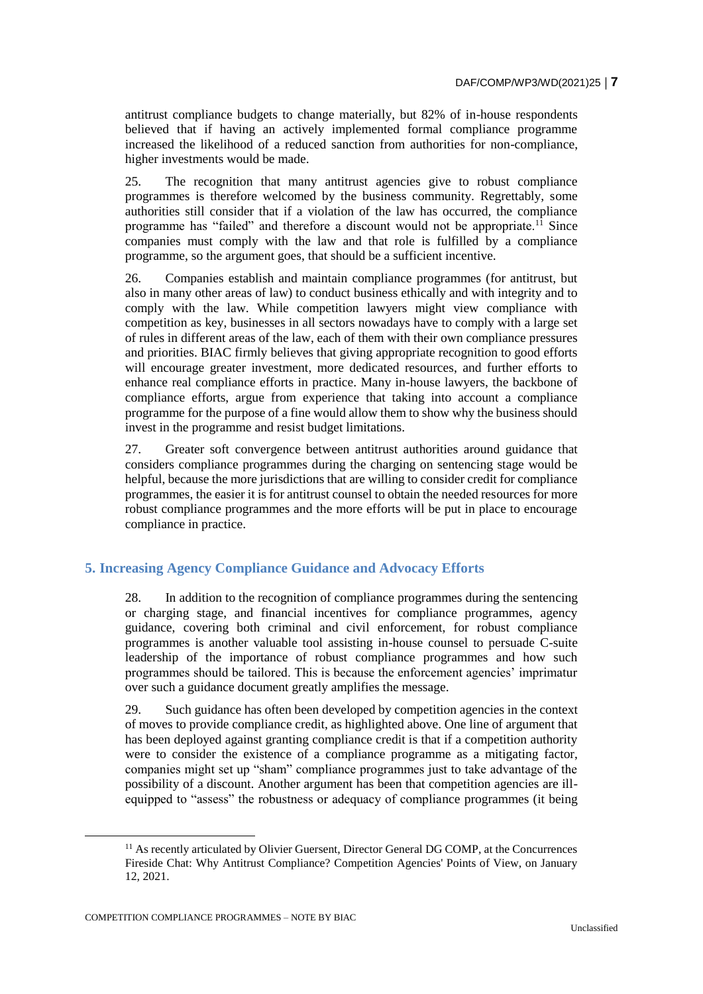antitrust compliance budgets to change materially, but 82% of in-house respondents believed that if having an actively implemented formal compliance programme increased the likelihood of a reduced sanction from authorities for non-compliance, higher investments would be made.

25. The recognition that many antitrust agencies give to robust compliance programmes is therefore welcomed by the business community. Regrettably, some authorities still consider that if a violation of the law has occurred, the compliance programme has "failed" and therefore a discount would not be appropriate.<sup>11</sup> Since companies must comply with the law and that role is fulfilled by a compliance programme, so the argument goes, that should be a sufficient incentive.

26. Companies establish and maintain compliance programmes (for antitrust, but also in many other areas of law) to conduct business ethically and with integrity and to comply with the law. While competition lawyers might view compliance with competition as key, businesses in all sectors nowadays have to comply with a large set of rules in different areas of the law, each of them with their own compliance pressures and priorities. BIAC firmly believes that giving appropriate recognition to good efforts will encourage greater investment, more dedicated resources, and further efforts to enhance real compliance efforts in practice. Many in-house lawyers, the backbone of compliance efforts, argue from experience that taking into account a compliance programme for the purpose of a fine would allow them to show why the business should invest in the programme and resist budget limitations.

27. Greater soft convergence between antitrust authorities around guidance that considers compliance programmes during the charging on sentencing stage would be helpful, because the more jurisdictions that are willing to consider credit for compliance programmes, the easier it is for antitrust counsel to obtain the needed resources for more robust compliance programmes and the more efforts will be put in place to encourage compliance in practice.

## **5. Increasing Agency Compliance Guidance and Advocacy Efforts**

28. In addition to the recognition of compliance programmes during the sentencing or charging stage, and financial incentives for compliance programmes, agency guidance, covering both criminal and civil enforcement, for robust compliance programmes is another valuable tool assisting in-house counsel to persuade C-suite leadership of the importance of robust compliance programmes and how such programmes should be tailored. This is because the enforcement agencies' imprimatur over such a guidance document greatly amplifies the message.

29. Such guidance has often been developed by competition agencies in the context of moves to provide compliance credit, as highlighted above. One line of argument that has been deployed against granting compliance credit is that if a competition authority were to consider the existence of a compliance programme as a mitigating factor, companies might set up "sham" compliance programmes just to take advantage of the possibility of a discount. Another argument has been that competition agencies are illequipped to "assess" the robustness or adequacy of compliance programmes (it being

<sup>&</sup>lt;sup>11</sup> As recently articulated by Olivier Guersent, Director General DG COMP, at the Concurrences Fireside Chat: Why Antitrust Compliance? Competition Agencies' Points of View, on January 12, 2021.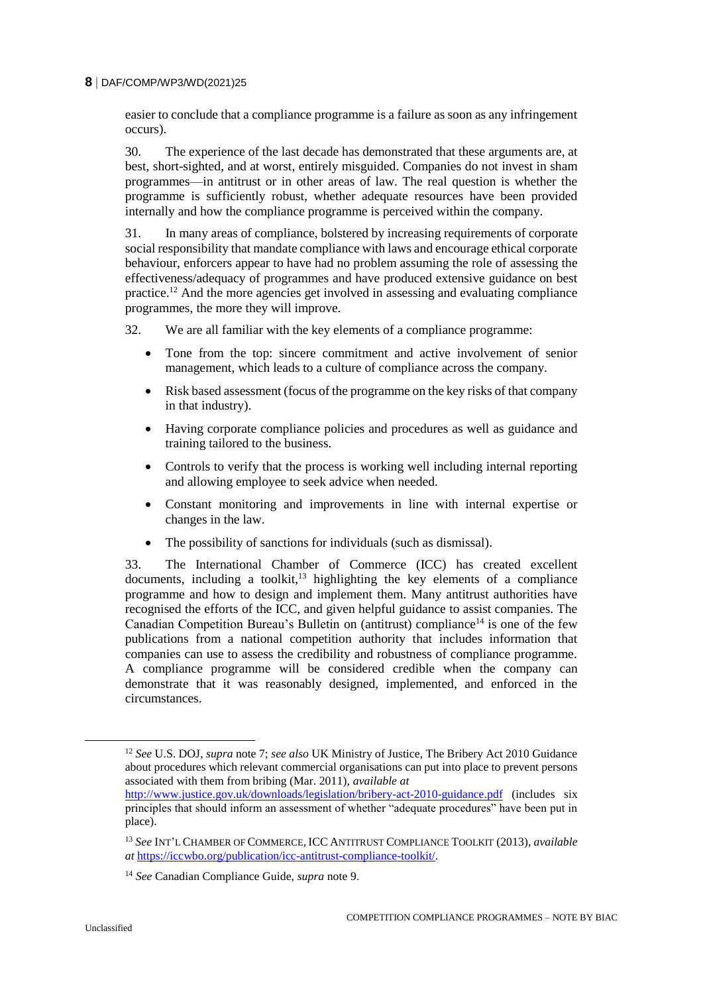easier to conclude that a compliance programme is a failure as soon as any infringement occurs).

30. The experience of the last decade has demonstrated that these arguments are, at best, short-sighted, and at worst, entirely misguided. Companies do not invest in sham programmes—in antitrust or in other areas of law. The real question is whether the programme is sufficiently robust, whether adequate resources have been provided internally and how the compliance programme is perceived within the company.

31. In many areas of compliance, bolstered by increasing requirements of corporate social responsibility that mandate compliance with laws and encourage ethical corporate behaviour, enforcers appear to have had no problem assuming the role of assessing the effectiveness/adequacy of programmes and have produced extensive guidance on best practice.<sup>12</sup> And the more agencies get involved in assessing and evaluating compliance programmes, the more they will improve.

32. We are all familiar with the key elements of a compliance programme:

- Tone from the top: sincere commitment and active involvement of senior management, which leads to a culture of compliance across the company.
- Risk based assessment (focus of the programme on the key risks of that company in that industry).
- Having corporate compliance policies and procedures as well as guidance and training tailored to the business.
- Controls to verify that the process is working well including internal reporting and allowing employee to seek advice when needed.
- Constant monitoring and improvements in line with internal expertise or changes in the law.
- The possibility of sanctions for individuals (such as dismissal).

33. The International Chamber of Commerce (ICC) has created excellent  $d$ ocuments, including a toolkit,  $13$  highlighting the key elements of a compliance programme and how to design and implement them. Many antitrust authorities have recognised the efforts of the ICC, and given helpful guidance to assist companies. The Canadian Competition Bureau's Bulletin on (antitrust) compliance<sup>14</sup> is one of the few publications from a national competition authority that includes information that companies can use to assess the credibility and robustness of compliance programme. A compliance programme will be considered credible when the company can demonstrate that it was reasonably designed, implemented, and enforced in the circumstances.

<sup>12</sup> *See* U.S. DOJ, *supra* note 7; *see also* UK Ministry of Justice, The Bribery Act 2010 Guidance about procedures which relevant commercial organisations can put into place to prevent persons associated with them from bribing (Mar. 2011), *available at*

<http://www.justice.gov.uk/downloads/legislation/bribery-act-2010-guidance.pdf> (includes six principles that should inform an assessment of whether "adequate procedures" have been put in place).

<sup>13</sup> *See* INT'L CHAMBER OF COMMERCE, ICC ANTITRUST COMPLIANCE TOOLKIT (2013), *available at* [https://iccwbo.org/publication/icc-antitrust-compliance-toolkit/.](https://iccwbo.org/publication/icc-antitrust-compliance-toolkit/)

<sup>14</sup> *See* Canadian Compliance Guide, *supra* note 9.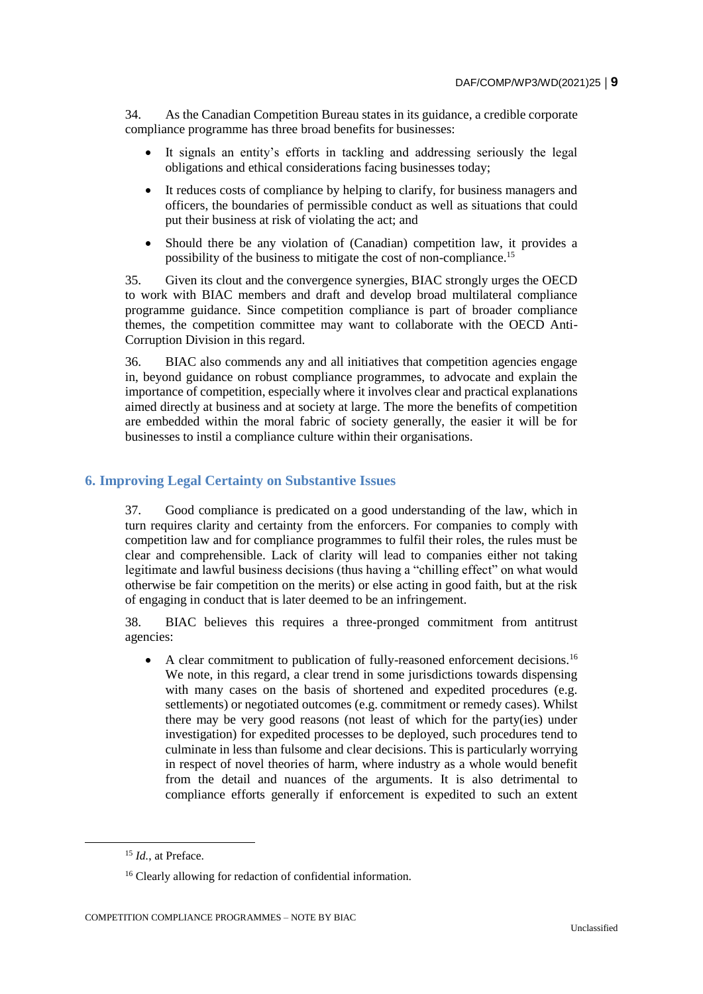34. As the Canadian Competition Bureau states in its guidance, a credible corporate compliance programme has three broad benefits for businesses:

- It signals an entity's efforts in tackling and addressing seriously the legal obligations and ethical considerations facing businesses today;
- It reduces costs of compliance by helping to clarify, for business managers and officers, the boundaries of permissible conduct as well as situations that could put their business at risk of violating the act; and
- Should there be any violation of (Canadian) competition law, it provides a possibility of the business to mitigate the cost of non-compliance.<sup>15</sup>

35. Given its clout and the convergence synergies, BIAC strongly urges the OECD to work with BIAC members and draft and develop broad multilateral compliance programme guidance. Since competition compliance is part of broader compliance themes, the competition committee may want to collaborate with the OECD Anti-Corruption Division in this regard.

36. BIAC also commends any and all initiatives that competition agencies engage in, beyond guidance on robust compliance programmes, to advocate and explain the importance of competition, especially where it involves clear and practical explanations aimed directly at business and at society at large. The more the benefits of competition are embedded within the moral fabric of society generally, the easier it will be for businesses to instil a compliance culture within their organisations.

## **6. Improving Legal Certainty on Substantive Issues**

37. Good compliance is predicated on a good understanding of the law, which in turn requires clarity and certainty from the enforcers. For companies to comply with competition law and for compliance programmes to fulfil their roles, the rules must be clear and comprehensible. Lack of clarity will lead to companies either not taking legitimate and lawful business decisions (thus having a "chilling effect" on what would otherwise be fair competition on the merits) or else acting in good faith, but at the risk of engaging in conduct that is later deemed to be an infringement.

38. BIAC believes this requires a three-pronged commitment from antitrust agencies:

• A clear commitment to publication of fully-reasoned enforcement decisions.<sup>16</sup> We note, in this regard, a clear trend in some jurisdictions towards dispensing with many cases on the basis of shortened and expedited procedures (e.g. settlements) or negotiated outcomes (e.g. commitment or remedy cases). Whilst there may be very good reasons (not least of which for the party(ies) under investigation) for expedited processes to be deployed, such procedures tend to culminate in less than fulsome and clear decisions. This is particularly worrying in respect of novel theories of harm, where industry as a whole would benefit from the detail and nuances of the arguments. It is also detrimental to compliance efforts generally if enforcement is expedited to such an extent

1

<sup>&</sup>lt;sup>15</sup> *Id.*, at Preface.

<sup>&</sup>lt;sup>16</sup> Clearly allowing for redaction of confidential information.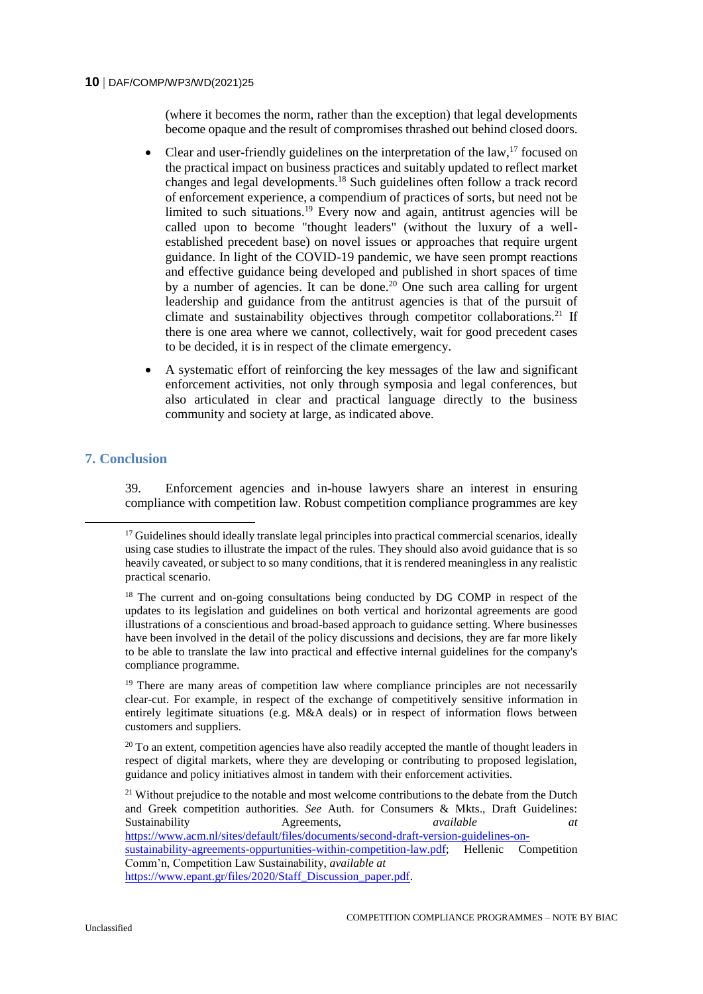(where it becomes the norm, rather than the exception) that legal developments become opaque and the result of compromises thrashed out behind closed doors.

- Clear and user-friendly guidelines on the interpretation of the law,  $17$  focused on the practical impact on business practices and suitably updated to reflect market changes and legal developments.<sup>18</sup> Such guidelines often follow a track record of enforcement experience, a compendium of practices of sorts, but need not be limited to such situations.<sup>19</sup> Every now and again, antitrust agencies will be called upon to become "thought leaders" (without the luxury of a wellestablished precedent base) on novel issues or approaches that require urgent guidance. In light of the COVID-19 pandemic, we have seen prompt reactions and effective guidance being developed and published in short spaces of time by a number of agencies. It can be done.<sup>20</sup> One such area calling for urgent leadership and guidance from the antitrust agencies is that of the pursuit of climate and sustainability objectives through competitor collaborations.<sup>21</sup> If there is one area where we cannot, collectively, wait for good precedent cases to be decided, it is in respect of the climate emergency.
- A systematic effort of reinforcing the key messages of the law and significant enforcement activities, not only through symposia and legal conferences, but also articulated in clear and practical language directly to the business community and society at large, as indicated above.

## **7. Conclusion**

1

39. Enforcement agencies and in-house lawyers share an interest in ensuring compliance with competition law. Robust competition compliance programmes are key

[https://www.epant.gr/files/2020/Staff\\_Discussion\\_paper.pdf.](https://www.epant.gr/files/2020/Staff_Discussion_paper.pdf)

<sup>&</sup>lt;sup>17</sup> Guidelines should ideally translate legal principles into practical commercial scenarios, ideally using case studies to illustrate the impact of the rules. They should also avoid guidance that is so heavily caveated, or subject to so many conditions, that it is rendered meaningless in any realistic practical scenario.

<sup>&</sup>lt;sup>18</sup> The current and on-going consultations being conducted by DG COMP in respect of the updates to its legislation and guidelines on both vertical and horizontal agreements are good illustrations of a conscientious and broad-based approach to guidance setting. Where businesses have been involved in the detail of the policy discussions and decisions, they are far more likely to be able to translate the law into practical and effective internal guidelines for the company's compliance programme.

 $19$  There are many areas of competition law where compliance principles are not necessarily clear-cut. For example, in respect of the exchange of competitively sensitive information in entirely legitimate situations (e.g. M&A deals) or in respect of information flows between customers and suppliers.

 $20$  To an extent, competition agencies have also readily accepted the mantle of thought leaders in respect of digital markets, where they are developing or contributing to proposed legislation, guidance and policy initiatives almost in tandem with their enforcement activities.

<sup>&</sup>lt;sup>21</sup> Without prejudice to the notable and most welcome contributions to the debate from the Dutch and Greek competition authorities. *See* Auth. for Consumers & Mkts., Draft Guidelines: Sustainability Agreements, *available at*

[https://www.acm.nl/sites/default/files/documents/second-draft-version-guidelines-on-](https://www.acm.nl/sites/default/files/documents/second-draft-version-guidelines-on-sustainability-agreements-oppurtunities-within-competition-law.pdf)

[sustainability-agreements-oppurtunities-within-competition-law.pdf;](https://www.acm.nl/sites/default/files/documents/second-draft-version-guidelines-on-sustainability-agreements-oppurtunities-within-competition-law.pdf) Hellenic Competition Comm'n, Competition Law Sustainability, *available at*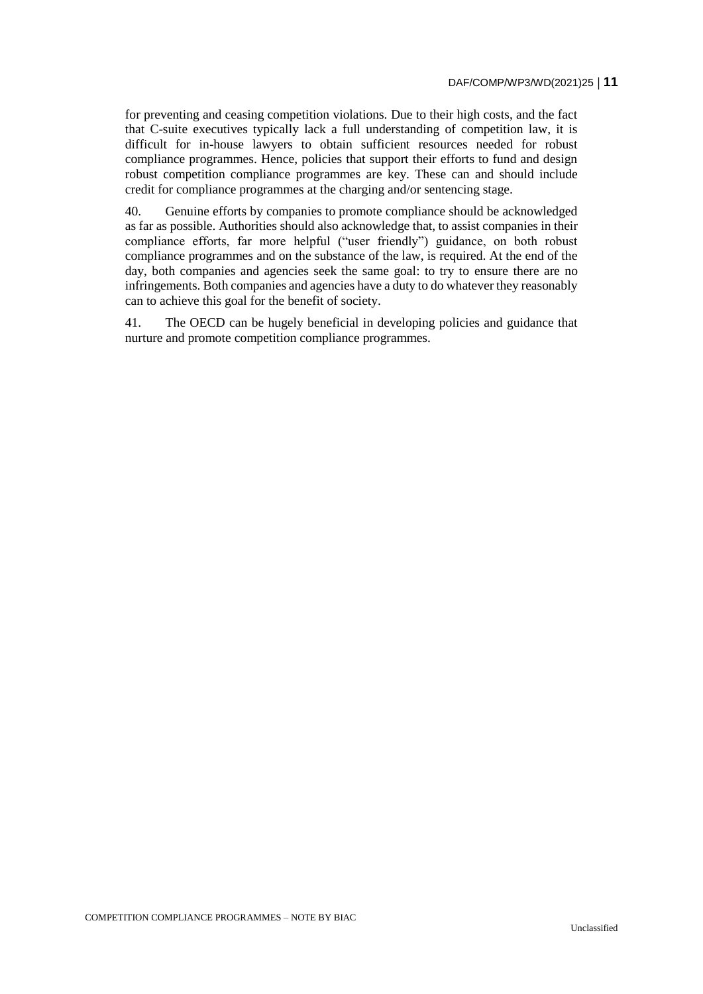for preventing and ceasing competition violations. Due to their high costs, and the fact that C-suite executives typically lack a full understanding of competition law, it is difficult for in-house lawyers to obtain sufficient resources needed for robust compliance programmes. Hence, policies that support their efforts to fund and design robust competition compliance programmes are key. These can and should include credit for compliance programmes at the charging and/or sentencing stage.

40. Genuine efforts by companies to promote compliance should be acknowledged as far as possible. Authorities should also acknowledge that, to assist companies in their compliance efforts, far more helpful ("user friendly") guidance, on both robust compliance programmes and on the substance of the law, is required. At the end of the day, both companies and agencies seek the same goal: to try to ensure there are no infringements. Both companies and agencies have a duty to do whatever they reasonably can to achieve this goal for the benefit of society.

41. The OECD can be hugely beneficial in developing policies and guidance that nurture and promote competition compliance programmes.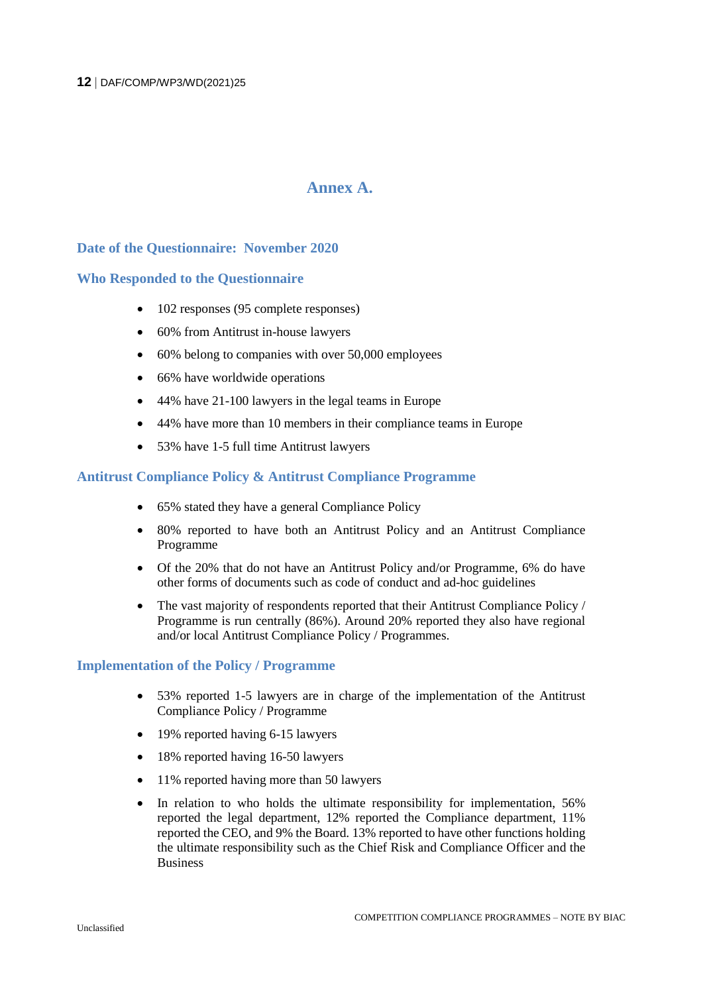## **Annex A.**

## **Date of the Questionnaire: November 2020**

#### **Who Responded to the Questionnaire**

- 102 responses (95 complete responses)
- 60% from Antitrust in-house lawyers
- 60% belong to companies with over 50,000 employees
- 66% have worldwide operations
- 44% have 21-100 lawyers in the legal teams in Europe
- 44% have more than 10 members in their compliance teams in Europe
- 53% have 1-5 full time Antitrust lawyers

#### **Antitrust Compliance Policy & Antitrust Compliance Programme**

- 65% stated they have a general Compliance Policy
- 80% reported to have both an Antitrust Policy and an Antitrust Compliance Programme
- Of the 20% that do not have an Antitrust Policy and/or Programme, 6% do have other forms of documents such as code of conduct and ad-hoc guidelines
- The vast majority of respondents reported that their Antitrust Compliance Policy / Programme is run centrally (86%). Around 20% reported they also have regional and/or local Antitrust Compliance Policy / Programmes.

#### **Implementation of the Policy / Programme**

- 53% reported 1-5 lawyers are in charge of the implementation of the Antitrust Compliance Policy / Programme
- 19% reported having 6-15 lawyers
- 18% reported having 16-50 lawyers
- 11% reported having more than 50 lawyers
- In relation to who holds the ultimate responsibility for implementation, 56% reported the legal department, 12% reported the Compliance department, 11% reported the CEO, and 9% the Board. 13% reported to have other functions holding the ultimate responsibility such as the Chief Risk and Compliance Officer and the Business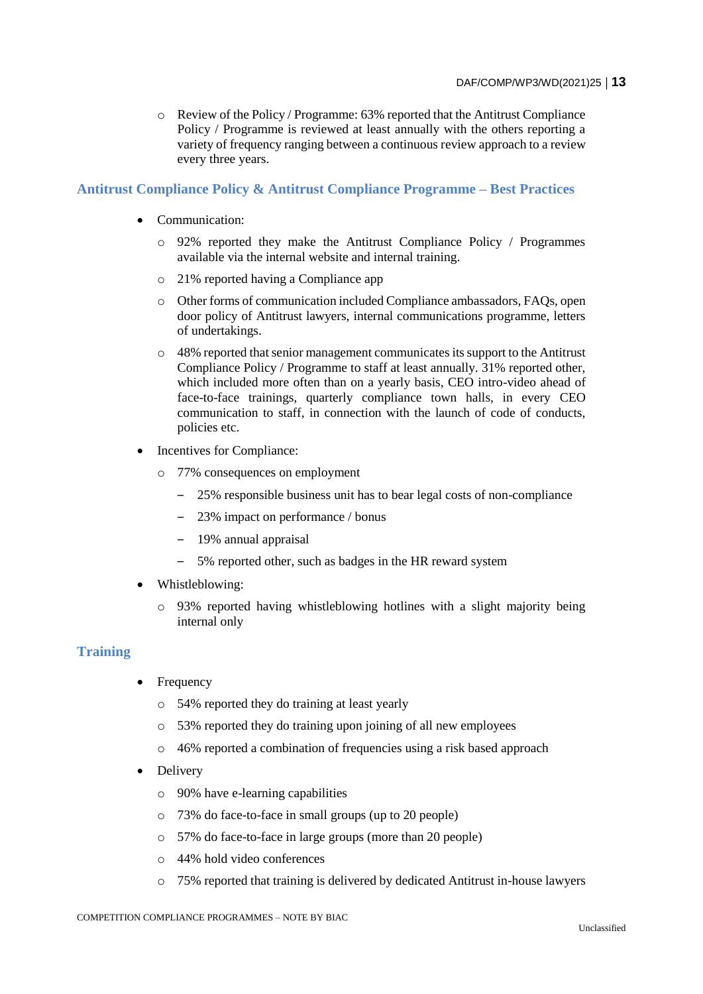o Review of the Policy / Programme: 63% reported that the Antitrust Compliance Policy / Programme is reviewed at least annually with the others reporting a variety of frequency ranging between a continuous review approach to a review every three years.

## **Antitrust Compliance Policy & Antitrust Compliance Programme – Best Practices**

- Communication:
	- o 92% reported they make the Antitrust Compliance Policy / Programmes available via the internal website and internal training.
	- o 21% reported having a Compliance app
	- o Other forms of communication included Compliance ambassadors, FAQs, open door policy of Antitrust lawyers, internal communications programme, letters of undertakings.
	- o 48% reported that senior management communicates its support to the Antitrust Compliance Policy / Programme to staff at least annually. 31% reported other, which included more often than on a yearly basis, CEO intro-video ahead of face-to-face trainings, quarterly compliance town halls, in every CEO communication to staff, in connection with the launch of code of conducts, policies etc.
- Incentives for Compliance:
	- o 77% consequences on employment
		- ‒ 25% responsible business unit has to bear legal costs of non-compliance
		- ‒ 23% impact on performance / bonus
		- ‒ 19% annual appraisal
		- ‒ 5% reported other, such as badges in the HR reward system
- Whistleblowing:
	- $\circ$  93% reported having whistleblowing hotlines with a slight majority being internal only

## **Training**

- Frequency
	- o 54% reported they do training at least yearly
	- o 53% reported they do training upon joining of all new employees
	- o 46% reported a combination of frequencies using a risk based approach
- Delivery
	- o 90% have e-learning capabilities
	- o 73% do face-to-face in small groups (up to 20 people)
	- o 57% do face-to-face in large groups (more than 20 people)
	- o 44% hold video conferences
	- o 75% reported that training is delivered by dedicated Antitrust in-house lawyers

COMPETITION COMPLIANCE PROGRAMMES – NOTE BY BIAC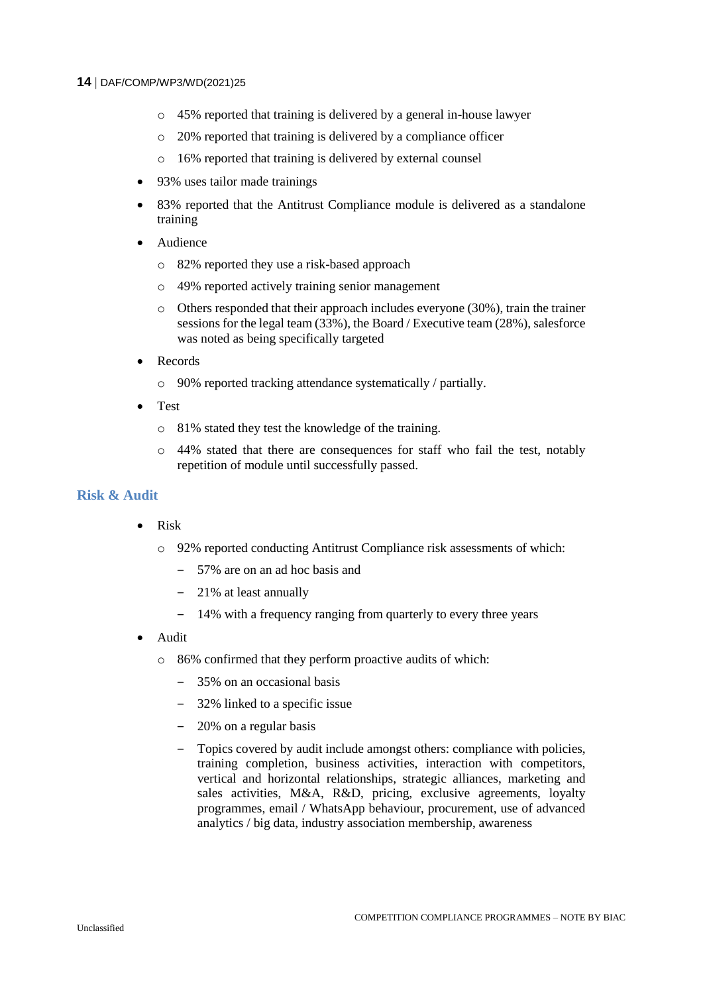- o 45% reported that training is delivered by a general in-house lawyer
- o 20% reported that training is delivered by a compliance officer
- o 16% reported that training is delivered by external counsel
- 93% uses tailor made trainings
- 83% reported that the Antitrust Compliance module is delivered as a standalone training
- Audience
	- o 82% reported they use a risk-based approach
	- o 49% reported actively training senior management
	- o Others responded that their approach includes everyone (30%), train the trainer sessions for the legal team (33%), the Board / Executive team (28%), salesforce was noted as being specifically targeted
- Records
	- o 90% reported tracking attendance systematically / partially.
- Test
	- o 81% stated they test the knowledge of the training.
	- o 44% stated that there are consequences for staff who fail the test, notably repetition of module until successfully passed.

### **Risk & Audit**

- Risk
	- o 92% reported conducting Antitrust Compliance risk assessments of which:
		- ‒ 57% are on an ad hoc basis and
		- ‒ 21% at least annually
		- ‒ 14% with a frequency ranging from quarterly to every three years
- Audit
	- o 86% confirmed that they perform proactive audits of which:
		- ‒ 35% on an occasional basis
		- ‒ 32% linked to a specific issue
		- ‒ 20% on a regular basis
		- ‒ Topics covered by audit include amongst others: compliance with policies, training completion, business activities, interaction with competitors, vertical and horizontal relationships, strategic alliances, marketing and sales activities, M&A, R&D, pricing, exclusive agreements, loyalty programmes, email / WhatsApp behaviour, procurement, use of advanced analytics / big data, industry association membership, awareness